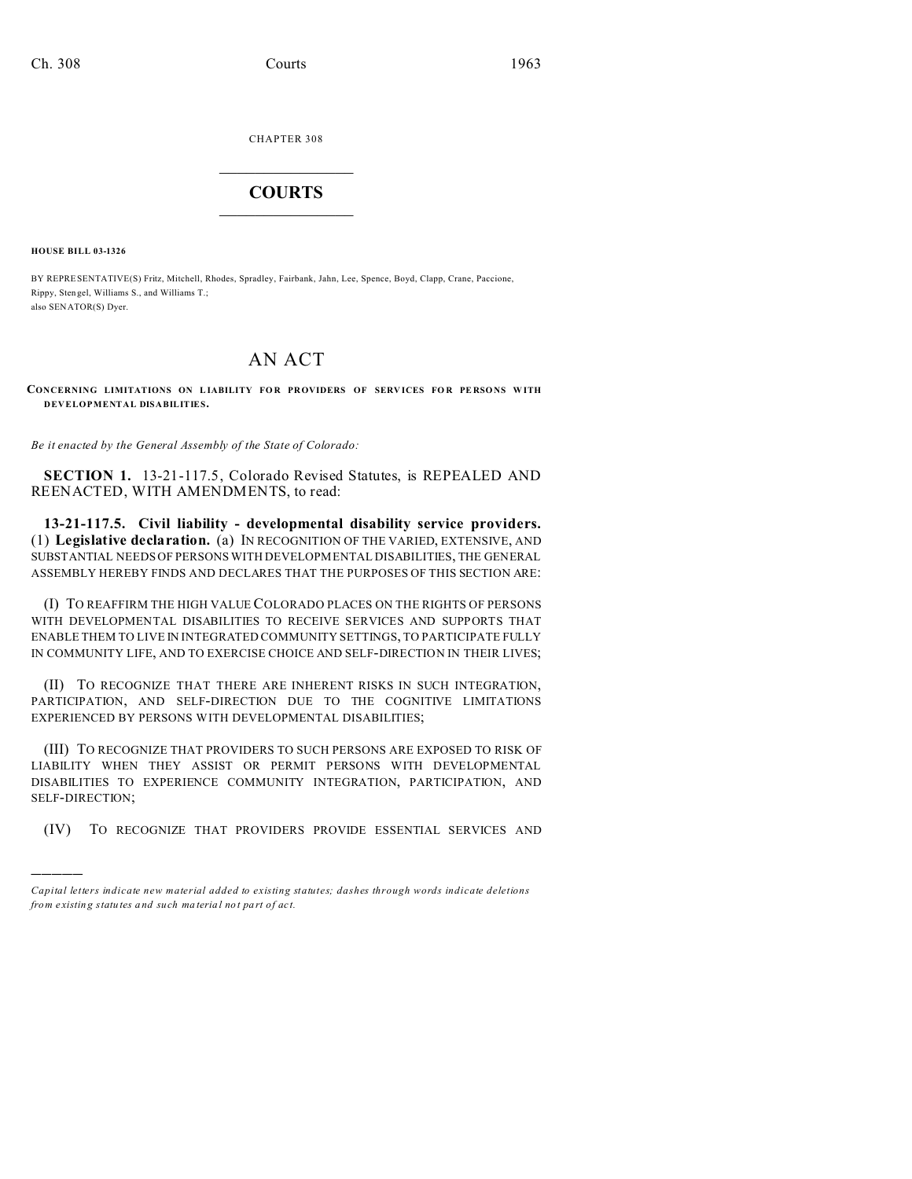CHAPTER 308  $\overline{\phantom{a}}$  , where  $\overline{\phantom{a}}$ 

## **COURTS**  $\_$

**HOUSE BILL 03-1326**

)))))

BY REPRESENTATIVE(S) Fritz, Mitchell, Rhodes, Spradley, Fairbank, Jahn, Lee, Spence, Boyd, Clapp, Crane, Paccione, Rippy, Sten gel, Williams S., and Williams T.; also SENATOR(S) Dyer.

## AN ACT

**CONCERNING LIMITATIONS ON LIABILITY FO R PROVIDERS OF SERV ICES FO R PE RSONS WITH DEVELOPMENTAL DISABILITIES.**

*Be it enacted by the General Assembly of the State of Colorado:*

**SECTION 1.** 13-21-117.5, Colorado Revised Statutes, is REPEALED AND REENACTED, WITH AMENDMENTS, to read:

**13-21-117.5. Civil liability - developmental disability service providers.** (1) **Legislative declaration.** (a) IN RECOGNITION OF THE VARIED, EXTENSIVE, AND SUBSTANTIAL NEEDS OF PERSONS WITH DEVELOPMENTAL DISABILITIES, THE GENERAL ASSEMBLY HEREBY FINDS AND DECLARES THAT THE PURPOSES OF THIS SECTION ARE:

(I) TO REAFFIRM THE HIGH VALUE COLORADO PLACES ON THE RIGHTS OF PERSONS WITH DEVELOPMENTAL DISABILITIES TO RECEIVE SERVICES AND SUPPORTS THAT ENABLE THEM TO LIVE IN INTEGRATED COMMUNITY SETTINGS, TO PARTICIPATE FULLY IN COMMUNITY LIFE, AND TO EXERCISE CHOICE AND SELF-DIRECTION IN THEIR LIVES;

(II) TO RECOGNIZE THAT THERE ARE INHERENT RISKS IN SUCH INTEGRATION, PARTICIPATION, AND SELF-DIRECTION DUE TO THE COGNITIVE LIMITATIONS EXPERIENCED BY PERSONS WITH DEVELOPMENTAL DISABILITIES;

(III) TO RECOGNIZE THAT PROVIDERS TO SUCH PERSONS ARE EXPOSED TO RISK OF LIABILITY WHEN THEY ASSIST OR PERMIT PERSONS WITH DEVELOPMENTAL DISABILITIES TO EXPERIENCE COMMUNITY INTEGRATION, PARTICIPATION, AND SELF-DIRECTION;

(IV) TO RECOGNIZE THAT PROVIDERS PROVIDE ESSENTIAL SERVICES AND

*Capital letters indicate new material added to existing statutes; dashes through words indicate deletions from e xistin g statu tes a nd such ma teria l no t pa rt of ac t.*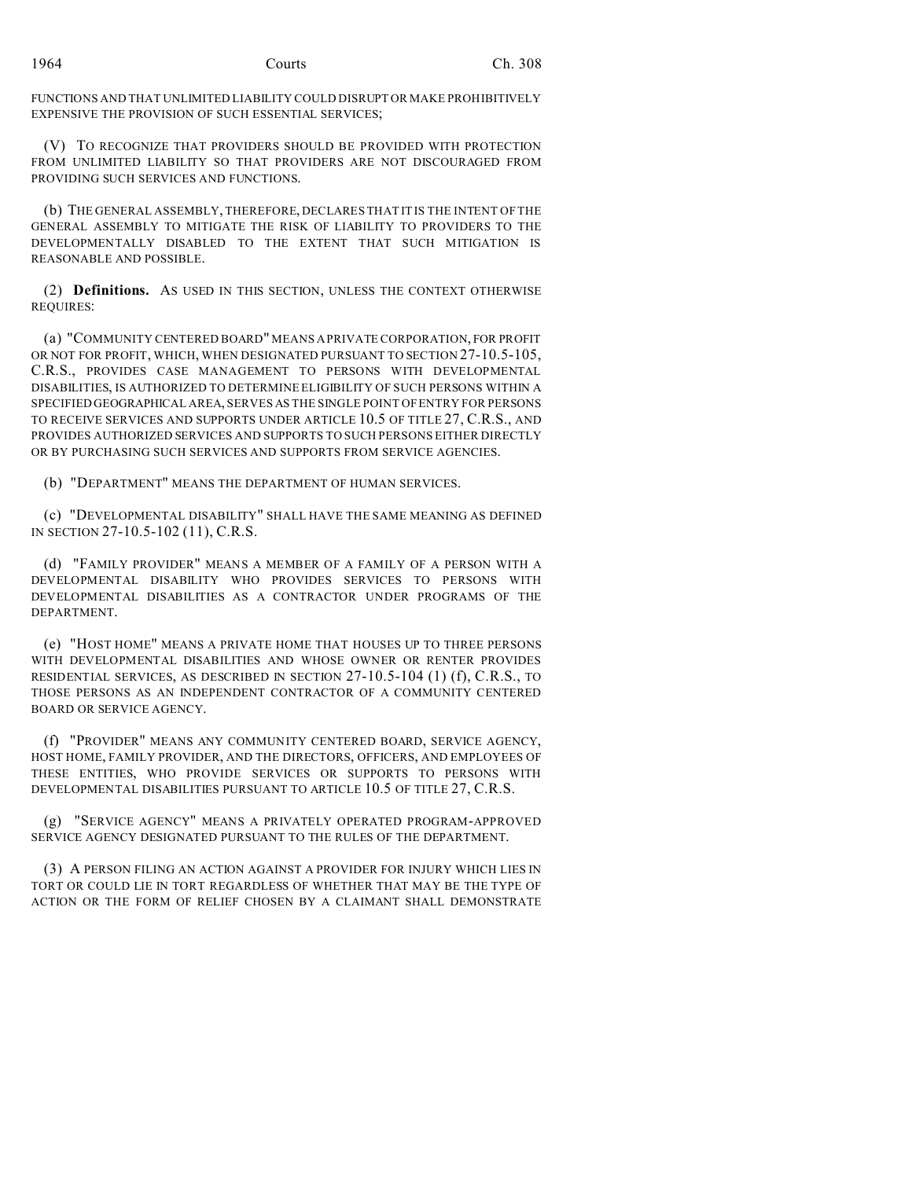FUNCTIONS AND THAT UNLIMITED LIABILITY COULD DISRUPT OR MAKE PROHIBITIVELY EXPENSIVE THE PROVISION OF SUCH ESSENTIAL SERVICES;

(V) TO RECOGNIZE THAT PROVIDERS SHOULD BE PROVIDED WITH PROTECTION FROM UNLIMITED LIABILITY SO THAT PROVIDERS ARE NOT DISCOURAGED FROM PROVIDING SUCH SERVICES AND FUNCTIONS.

(b) THE GENERAL ASSEMBLY, THEREFORE, DECLARES THAT IT IS THE INTENT OF THE GENERAL ASSEMBLY TO MITIGATE THE RISK OF LIABILITY TO PROVIDERS TO THE DEVELOPMENTALLY DISABLED TO THE EXTENT THAT SUCH MITIGATION IS REASONABLE AND POSSIBLE.

(2) **Definitions.** AS USED IN THIS SECTION, UNLESS THE CONTEXT OTHERWISE REQUIRES:

(a) "COMMUNITY CENTERED BOARD" MEANS A PRIVATE CORPORATION, FOR PROFIT OR NOT FOR PROFIT, WHICH, WHEN DESIGNATED PURSUANT TO SECTION 27-10.5-105, C.R.S., PROVIDES CASE MANAGEMENT TO PERSONS WITH DEVELOPMENTAL DISABILITIES, IS AUTHORIZED TO DETERMINE ELIGIBILITY OF SUCH PERSONS WITHIN A SPECIFIED GEOGRAPHICAL AREA, SERVES AS THE SINGLE POINT OF ENTRY FOR PERSONS TO RECEIVE SERVICES AND SUPPORTS UNDER ARTICLE 10.5 OF TITLE 27, C.R.S., AND PROVIDES AUTHORIZED SERVICES AND SUPPORTS TO SUCH PERSONS EITHER DIRECTLY OR BY PURCHASING SUCH SERVICES AND SUPPORTS FROM SERVICE AGENCIES.

(b) "DEPARTMENT" MEANS THE DEPARTMENT OF HUMAN SERVICES.

(c) "DEVELOPMENTAL DISABILITY" SHALL HAVE THE SAME MEANING AS DEFINED IN SECTION 27-10.5-102 (11), C.R.S.

(d) "FAMILY PROVIDER" MEANS A MEMBER OF A FAMILY OF A PERSON WITH A DEVELOPMENTAL DISABILITY WHO PROVIDES SERVICES TO PERSONS WITH DEVELOPMENTAL DISABILITIES AS A CONTRACTOR UNDER PROGRAMS OF THE DEPARTMENT.

(e) "HOST HOME" MEANS A PRIVATE HOME THAT HOUSES UP TO THREE PERSONS WITH DEVELOPMENTAL DISABILITIES AND WHOSE OWNER OR RENTER PROVIDES RESIDENTIAL SERVICES, AS DESCRIBED IN SECTION 27-10.5-104 (1) (f), C.R.S., TO THOSE PERSONS AS AN INDEPENDENT CONTRACTOR OF A COMMUNITY CENTERED BOARD OR SERVICE AGENCY.

(f) "PROVIDER" MEANS ANY COMMUNITY CENTERED BOARD, SERVICE AGENCY, HOST HOME, FAMILY PROVIDER, AND THE DIRECTORS, OFFICERS, AND EMPLOYEES OF THESE ENTITIES, WHO PROVIDE SERVICES OR SUPPORTS TO PERSONS WITH DEVELOPMENTAL DISABILITIES PURSUANT TO ARTICLE 10.5 OF TITLE 27, C.R.S.

(g) "SERVICE AGENCY" MEANS A PRIVATELY OPERATED PROGRAM-APPROVED SERVICE AGENCY DESIGNATED PURSUANT TO THE RULES OF THE DEPARTMENT.

(3) A PERSON FILING AN ACTION AGAINST A PROVIDER FOR INJURY WHICH LIES IN TORT OR COULD LIE IN TORT REGARDLESS OF WHETHER THAT MAY BE THE TYPE OF ACTION OR THE FORM OF RELIEF CHOSEN BY A CLAIMANT SHALL DEMONSTRATE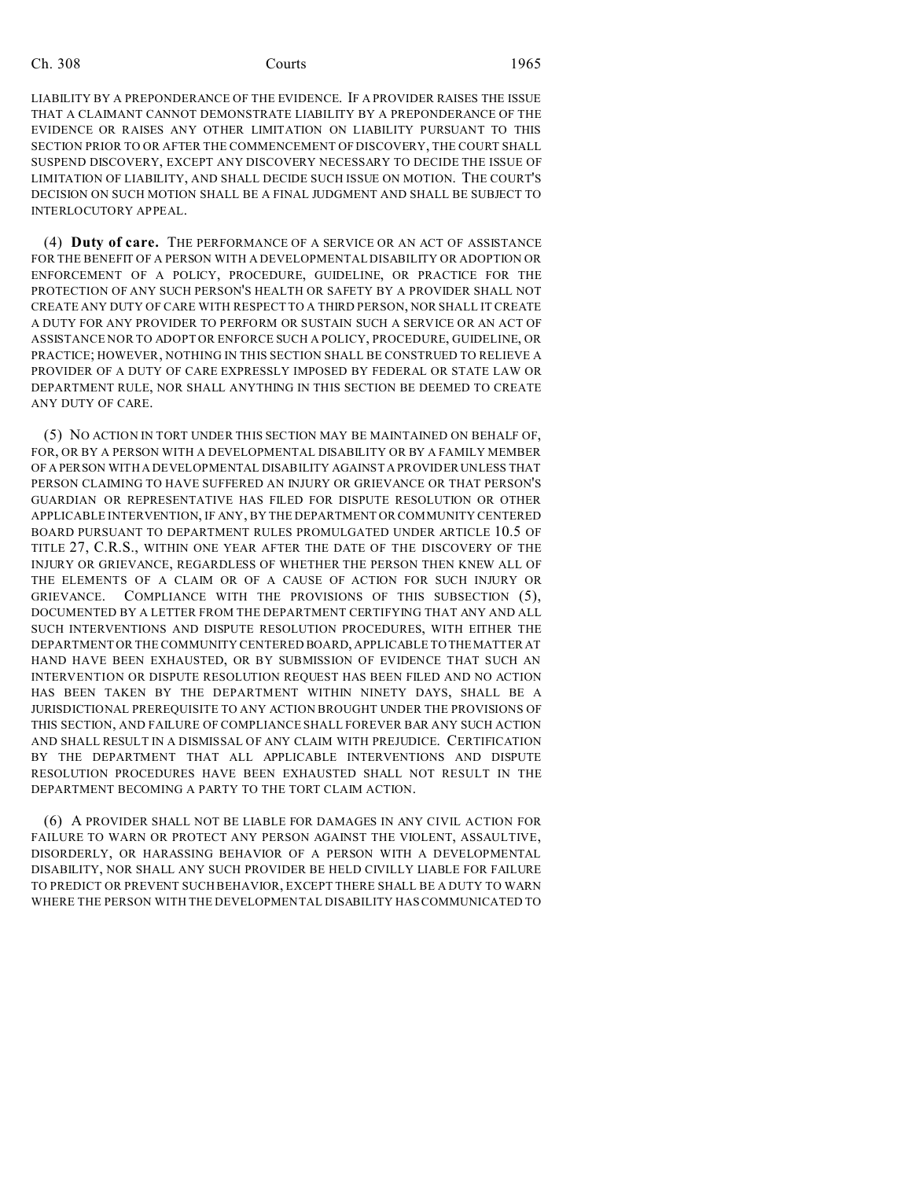LIABILITY BY A PREPONDERANCE OF THE EVIDENCE. IF A PROVIDER RAISES THE ISSUE THAT A CLAIMANT CANNOT DEMONSTRATE LIABILITY BY A PREPONDERANCE OF THE EVIDENCE OR RAISES ANY OTHER LIMITATION ON LIABILITY PURSUANT TO THIS SECTION PRIOR TO OR AFTER THE COMMENCEMENT OF DISCOVERY, THE COURT SHALL SUSPEND DISCOVERY, EXCEPT ANY DISCOVERY NECESSARY TO DECIDE THE ISSUE OF LIMITATION OF LIABILITY, AND SHALL DECIDE SUCH ISSUE ON MOTION. THE COURT'S DECISION ON SUCH MOTION SHALL BE A FINAL JUDGMENT AND SHALL BE SUBJECT TO INTERLOCUTORY APPEAL.

(4) **Duty of care.** THE PERFORMANCE OF A SERVICE OR AN ACT OF ASSISTANCE FOR THE BENEFIT OF A PERSON WITH A DEVELOPMENTAL DISABILITY OR ADOPTION OR ENFORCEMENT OF A POLICY, PROCEDURE, GUIDELINE, OR PRACTICE FOR THE PROTECTION OF ANY SUCH PERSON'S HEALTH OR SAFETY BY A PROVIDER SHALL NOT CREATE ANY DUTY OF CARE WITH RESPECT TO A THIRD PERSON, NOR SHALL IT CREATE A DUTY FOR ANY PROVIDER TO PERFORM OR SUSTAIN SUCH A SERVICE OR AN ACT OF ASSISTANCE NOR TO ADOPT OR ENFORCE SUCH A POLICY, PROCEDURE, GUIDELINE, OR PRACTICE; HOWEVER, NOTHING IN THIS SECTION SHALL BE CONSTRUED TO RELIEVE A PROVIDER OF A DUTY OF CARE EXPRESSLY IMPOSED BY FEDERAL OR STATE LAW OR DEPARTMENT RULE, NOR SHALL ANYTHING IN THIS SECTION BE DEEMED TO CREATE ANY DUTY OF CARE.

(5) NO ACTION IN TORT UNDER THIS SECTION MAY BE MAINTAINED ON BEHALF OF, FOR, OR BY A PERSON WITH A DEVELOPMENTAL DISABILITY OR BY A FAMILY MEMBER OF A PERSON WITH A DEVELOPMENTAL DISABILITY AGAINST A PROVIDER UNLESS THAT PERSON CLAIMING TO HAVE SUFFERED AN INJURY OR GRIEVANCE OR THAT PERSON'S GUARDIAN OR REPRESENTATIVE HAS FILED FOR DISPUTE RESOLUTION OR OTHER APPLICABLE INTERVENTION, IF ANY, BY THE DEPARTMENT OR COMMUNITY CENTERED BOARD PURSUANT TO DEPARTMENT RULES PROMULGATED UNDER ARTICLE 10.5 OF TITLE 27, C.R.S., WITHIN ONE YEAR AFTER THE DATE OF THE DISCOVERY OF THE INJURY OR GRIEVANCE, REGARDLESS OF WHETHER THE PERSON THEN KNEW ALL OF THE ELEMENTS OF A CLAIM OR OF A CAUSE OF ACTION FOR SUCH INJURY OR GRIEVANCE. COMPLIANCE WITH THE PROVISIONS OF THIS SUBSECTION (5), DOCUMENTED BY A LETTER FROM THE DEPARTMENT CERTIFYING THAT ANY AND ALL SUCH INTERVENTIONS AND DISPUTE RESOLUTION PROCEDURES, WITH EITHER THE DEPARTMENT OR THE COMMUNITY CENTERED BOARD, APPLICABLE TO THE MATTER AT HAND HAVE BEEN EXHAUSTED, OR BY SUBMISSION OF EVIDENCE THAT SUCH AN INTERVENTION OR DISPUTE RESOLUTION REQUEST HAS BEEN FILED AND NO ACTION HAS BEEN TAKEN BY THE DEPARTMENT WITHIN NINETY DAYS, SHALL BE A JURISDICTIONAL PREREQUISITE TO ANY ACTION BROUGHT UNDER THE PROVISIONS OF THIS SECTION, AND FAILURE OF COMPLIANCE SHALL FOREVER BAR ANY SUCH ACTION AND SHALL RESULT IN A DISMISSAL OF ANY CLAIM WITH PREJUDICE. CERTIFICATION BY THE DEPARTMENT THAT ALL APPLICABLE INTERVENTIONS AND DISPUTE RESOLUTION PROCEDURES HAVE BEEN EXHAUSTED SHALL NOT RESULT IN THE DEPARTMENT BECOMING A PARTY TO THE TORT CLAIM ACTION.

(6) A PROVIDER SHALL NOT BE LIABLE FOR DAMAGES IN ANY CIVIL ACTION FOR FAILURE TO WARN OR PROTECT ANY PERSON AGAINST THE VIOLENT, ASSAULTIVE, DISORDERLY, OR HARASSING BEHAVIOR OF A PERSON WITH A DEVELOPMENTAL DISABILITY, NOR SHALL ANY SUCH PROVIDER BE HELD CIVILLY LIABLE FOR FAILURE TO PREDICT OR PREVENT SUCH BEHAVIOR, EXCEPT THERE SHALL BE A DUTY TO WARN WHERE THE PERSON WITH THE DEVELOPMENTAL DISABILITY HAS COMMUNICATED TO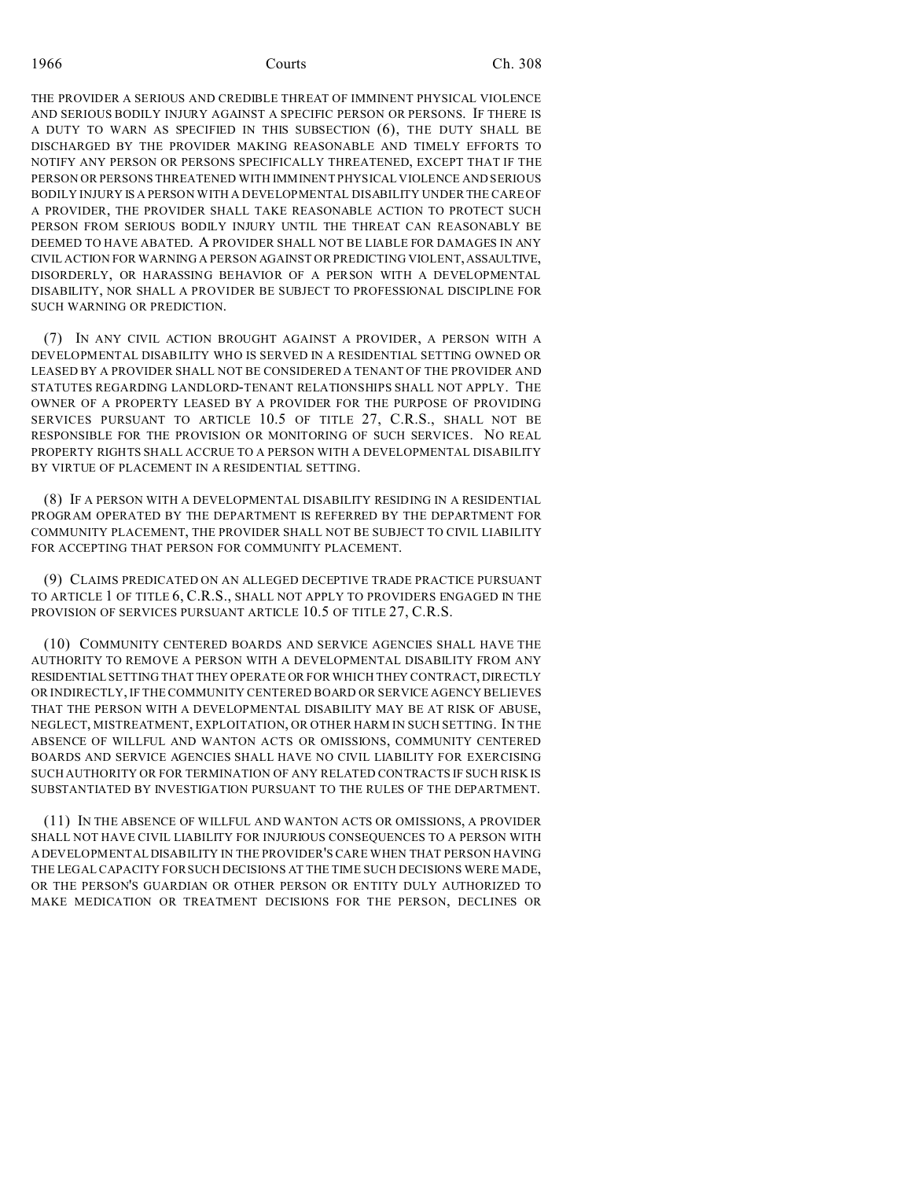THE PROVIDER A SERIOUS AND CREDIBLE THREAT OF IMMINENT PHYSICAL VIOLENCE AND SERIOUS BODILY INJURY AGAINST A SPECIFIC PERSON OR PERSONS. IF THERE IS A DUTY TO WARN AS SPECIFIED IN THIS SUBSECTION (6), THE DUTY SHALL BE DISCHARGED BY THE PROVIDER MAKING REASONABLE AND TIMELY EFFORTS TO NOTIFY ANY PERSON OR PERSONS SPECIFICALLY THREATENED, EXCEPT THAT IF THE PERSON OR PERSONS THREATENED WITH IMMINENT PHYSICAL VIOLENCE AND SERIOUS BODILY INJURY IS A PERSON WITH A DEVELOPMENTAL DISABILITY UNDER THE CARE OF A PROVIDER, THE PROVIDER SHALL TAKE REASONABLE ACTION TO PROTECT SUCH PERSON FROM SERIOUS BODILY INJURY UNTIL THE THREAT CAN REASONABLY BE DEEMED TO HAVE ABATED. A PROVIDER SHALL NOT BE LIABLE FOR DAMAGES IN ANY CIVIL ACTION FOR WARNING A PERSON AGAINST OR PREDICTING VIOLENT,ASSAULTIVE, DISORDERLY, OR HARASSING BEHAVIOR OF A PERSON WITH A DEVELOPMENTAL DISABILITY, NOR SHALL A PROVIDER BE SUBJECT TO PROFESSIONAL DISCIPLINE FOR SUCH WARNING OR PREDICTION.

(7) IN ANY CIVIL ACTION BROUGHT AGAINST A PROVIDER, A PERSON WITH A DEVELOPMENTAL DISABILITY WHO IS SERVED IN A RESIDENTIAL SETTING OWNED OR LEASED BY A PROVIDER SHALL NOT BE CONSIDERED A TENANT OF THE PROVIDER AND STATUTES REGARDING LANDLORD-TENANT RELATIONSHIPS SHALL NOT APPLY. THE OWNER OF A PROPERTY LEASED BY A PROVIDER FOR THE PURPOSE OF PROVIDING SERVICES PURSUANT TO ARTICLE 10.5 OF TITLE 27, C.R.S., SHALL NOT BE RESPONSIBLE FOR THE PROVISION OR MONITORING OF SUCH SERVICES. NO REAL PROPERTY RIGHTS SHALL ACCRUE TO A PERSON WITH A DEVELOPMENTAL DISABILITY BY VIRTUE OF PLACEMENT IN A RESIDENTIAL SETTING.

(8) IF A PERSON WITH A DEVELOPMENTAL DISABILITY RESIDING IN A RESIDENTIAL PROGRAM OPERATED BY THE DEPARTMENT IS REFERRED BY THE DEPARTMENT FOR COMMUNITY PLACEMENT, THE PROVIDER SHALL NOT BE SUBJECT TO CIVIL LIABILITY FOR ACCEPTING THAT PERSON FOR COMMUNITY PLACEMENT.

(9) CLAIMS PREDICATED ON AN ALLEGED DECEPTIVE TRADE PRACTICE PURSUANT TO ARTICLE 1 OF TITLE 6, C.R.S., SHALL NOT APPLY TO PROVIDERS ENGAGED IN THE PROVISION OF SERVICES PURSUANT ARTICLE 10.5 OF TITLE 27, C.R.S.

(10) COMMUNITY CENTERED BOARDS AND SERVICE AGENCIES SHALL HAVE THE AUTHORITY TO REMOVE A PERSON WITH A DEVELOPMENTAL DISABILITY FROM ANY RESIDENTIAL SETTING THAT THEY OPERATE OR FOR WHICH THEY CONTRACT, DIRECTLY OR INDIRECTLY, IF THE COMMUNITY CENTERED BOARD OR SERVICE AGENCY BELIEVES THAT THE PERSON WITH A DEVELOPMENTAL DISABILITY MAY BE AT RISK OF ABUSE, NEGLECT, MISTREATMENT, EXPLOITATION, OR OTHER HARM IN SUCH SETTING. IN THE ABSENCE OF WILLFUL AND WANTON ACTS OR OMISSIONS, COMMUNITY CENTERED BOARDS AND SERVICE AGENCIES SHALL HAVE NO CIVIL LIABILITY FOR EXERCISING SUCH AUTHORITY OR FOR TERMINATION OF ANY RELATED CONTRACTS IF SUCH RISK IS SUBSTANTIATED BY INVESTIGATION PURSUANT TO THE RULES OF THE DEPARTMENT.

(11) IN THE ABSENCE OF WILLFUL AND WANTON ACTS OR OMISSIONS, A PROVIDER SHALL NOT HAVE CIVIL LIABILITY FOR INJURIOUS CONSEQUENCES TO A PERSON WITH A DEVELOPMENTAL DISABILITY IN THE PROVIDER'S CARE WHEN THAT PERSON HAVING THE LEGAL CAPACITY FOR SUCH DECISIONS AT THE TIME SUCH DECISIONS WERE MADE, OR THE PERSON'S GUARDIAN OR OTHER PERSON OR ENTITY DULY AUTHORIZED TO MAKE MEDICATION OR TREATMENT DECISIONS FOR THE PERSON, DECLINES OR